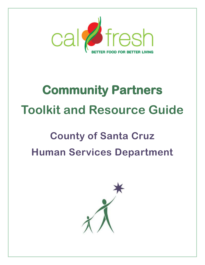

# **Community Partners Toolkit and Resource Guide**

# **County of Santa Cruz Human Services Department**

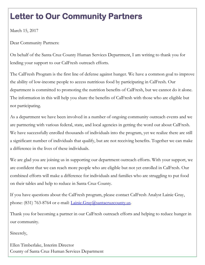## **Letter to Our Community Partners**

March 15, 2017

Dear Community Partners:

On behalf of the Santa Cruz County Human Services Department, I am writing to thank you for lending your support to our CalFresh outreach efforts.

The CalFresh Program is the first line of defense against hunger. We have a common goal to improve the ability of low-income people to access nutritious food by participating in CalFresh. Our department is committed to promoting the nutrition benefits of CalFresh, but we cannot do it alone. The information in this will help you share the benefits of CalFresh with those who are eligible but not participating.

As a department we have been involved in a number of ongoing community outreach events and we are partnering with various federal, state, and local agencies in getting the word out about CalFresh. We have successfully enrolled thousands of individuals into the program, yet we realize there are still a significant number of individuals that qualify, but are not receiving benefits. Together we can make a difference in the lives of these individuals.

We are glad you are joining us in supporting our department outreach efforts. With your support, we are confident that we can reach more people who are eligible but not yet enrolled in CalFresh. Our combined efforts will make a difference for individuals and families who are struggling to put food on their tables and help to reduce in Santa Cruz County.

If you have questions about the CalFresh program, please contact CalFresh Analyst Lainie Gray, phone: (831) 763-8764 or e-mail: *Lainie.Gray@santacruzcounty.us.* 

Thank you for becoming a partner in our CalFresh outreach efforts and helping to reduce hunger in our community.

Sincerely,

Ellen Timberlake, Interim Director County of Santa Cruz Human Services Department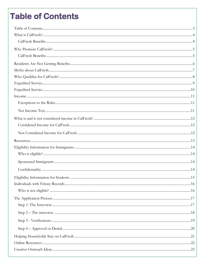## <span id="page-2-0"></span>**Table of Contents**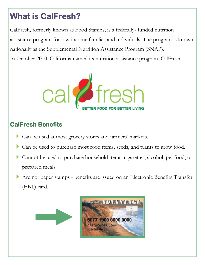## <span id="page-3-0"></span>**What is CalFresh?**

CalFresh, formerly known as Food Stamps, is a federally- funded nutrition assistance program for low-income families and individuals. The program is known nationally as the Supplemental Nutrition Assistance Program (SNAP). In October 2010, California named its nutrition assistance program, CalFresh.



### <span id="page-3-1"></span>**CalFresh Benefits**

- Can be used at most grocery stores and farmers' markets.
- Can be used to purchase most food items, seeds, and plants to grow food.
- Cannot be used to purchase household items, cigarettes, alcohol, pet food, or prepared meals.
- Are not paper stamps benefits are issued on an Electronic Benefits Transfer (EBT) card.

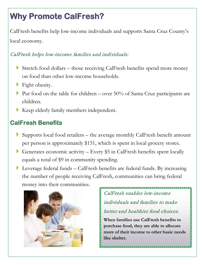## <span id="page-4-0"></span>**Why Promote CalFresh?**

CalFresh benefits help low-income individuals and supports Santa Cruz County's local economy.

#### CalFresh helps low-income families and individuals:

- Stretch food dollars those receiving CalFresh benefits spend more money on food than other low-income households.
- Fight obesity.
- Put food on the table for children over  $50\%$  of Santa Cruz participants are children.
- Keep elderly family members independent.

### <span id="page-4-1"></span>**CalFresh Benefits**

- Supports local food retailers the average monthly CalFresh benefit amount per person is approximately \$151, which is spent in local grocery stores.
- Generates economic activity Every \$5 in CalFresh benefits spent locally equals a total of \$9 in community spending.
- Leverage federal funds CalFresh benefits are federal funds. By increasing the number of people receiving CalFresh, communities can bring federal money into their communities.



### CalFresh enables low-income individuals and families to make better and healthier food choices.

**When families use CalFresh benefits to purchase food, they are able to allocate more of their income to other basic needs like shelter.**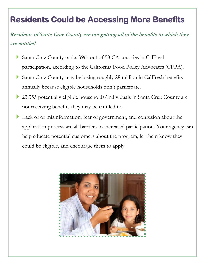## <span id="page-5-0"></span>**Residents Could be Accessing More Benefits**

Residents of Santa Cruz County are not getting all of the benefits to which they are entitled.

- Santa Cruz County ranks 39th out of 58 CA counties in CalFresh participation, according to the California Food Policy Advocates (CFPA).
- Santa Cruz County may be losing roughly 28 million in CalFresh benefits annually because eligible households don't participate.
- 23,355 potentially eligible households/individuals in Santa Cruz County are not receiving benefits they may be entitled to.
- Lack of or misinformation, fear of government, and confusion about the application process are all barriers to increased participation. Your agency can help educate potential customers about the program, let them know they could be eligible, and encourage them to apply!

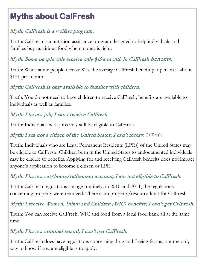## <span id="page-6-0"></span>**Myths about CalFresh**

### Myth: CalFresh is a welfare program.

Truth: CalFresh is a nutrition assistance program designed to help individuals and families buy nutritious food when money is tight.

### Myth: Some people only receive only \$15 a month in CalFresh benefits.

Truth: While some people receive \$15, the average CalFresh benefit per person is about \$151 per month.

#### Myth: CalFresh is only available to families with children.

Truth: You do not need to have children to receive CalFresh; benefits are available to individuals as well as families.

### Myth: I have a job; I can't receive CalFresh.

Truth: Individuals with jobs may still be eligible to CalFresh.

Myth: I am not a citizen of the United States; I can't receive CalFresh.

Truth: Individuals who are Legal Permanent Residents (LPRs) of the United States may be eligible to CalFresh. Children born in the United States to undocumented individuals may be eligible to benefits. Applying for and receiving CalFresh benefits does not impact anyone's application to become a citizen or LPR.

#### Myth: I have a car/home/retirement account; I am not eligible to CalFresh.

Truth: CalFresh regulations change routinely; in 2010 and 2011, the regulations concerning property were removed. There is no property/resource limit for CalFresh.

#### Myth: I receive Women, Infant and Children (WIC) benefits; I can't get CalFresh.

Truth: You can receive CalFresh, WIC and food from a local food bank all at the same time.

#### Myth: I have a criminal record; I can't get CalFresh.

Truth: CalFresh does have regulations concerning drug and fleeing felons, but the only way to know if you are eligible is to apply.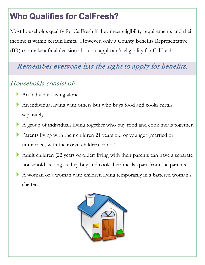## <span id="page-7-0"></span>**Who Qualifies for CalFresh?**

Most households qualify for CalFresh if they meet eligibility requirements and their income is within certain limits. However, only a County Benefits Representative (BR) can make a final decision about an applicant's eligibility for CalFresh.

## Remember everyone has the right to apply for benefits.

### Households consist of:

- An individual living alone.
- An individual living with others but who buys food and cooks meals separately.
- A group of individuals living together who buy food and cook meals together.
- Parents living with their children 21 years old or younger (married or unmarried, with their own children or not).
- Adult children (22 years or older) living with their parents can have a separate household as long as they buy and cook their meals apart from the parents.
- A woman or a woman with children living temporarily in a battered woman's shelter.

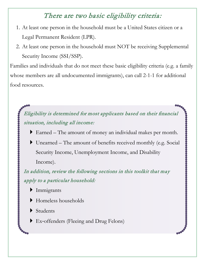### There are two basic eligibility criteria:

- 1. At least one person in the household must be a United States citizen or a Legal Permanent Resident (LPR).
- 2. At least one person in the household must NOT be receiving Supplemental Security Income (SSI/SSP).

Families and individuals that do not meet these basic eligibility criteria (e.g. a family whose members are all undocumented immigrants), can call 2-1-1 for additional food resources.

<span id="page-8-0"></span>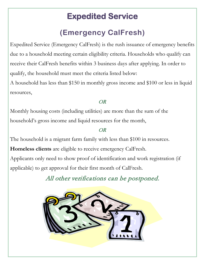## **Expedited Service**

## **(Emergency CalFresh)**

<span id="page-9-0"></span>Expedited Service (Emergency CalFresh) is the rush issuance of emergency benefits due to a household meeting certain eligibility criteria. Households who qualify can receive their CalFresh benefits within 3 business days after applying. In order to qualify, the household must meet the criteria listed below:

A household has less than \$150 in monthly gross income and \$100 or less in liquid resources,

#### OR

Monthly housing costs (including utilities) are more than the sum of the household's gross income and liquid resources for the month,

#### OR

The household is a migrant farm family with less than \$100 in resources. **Homeless clients** are eligible to receive emergency CalFresh. Applicants only need to show proof of identification and work registration (if applicable) to get approval for their first month of CalFresh.

All other verifications can be postponed.

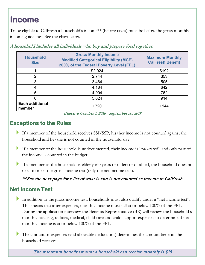## <span id="page-10-0"></span>**Income**

To be eligible to CalFresh a household's income\*\* (before taxes) must be below the gross monthly income guidelines. See the chart below.

| <b>Household</b><br><b>Size</b>  | <b>Gross Monthly Income</b><br><b>Modified Categorical Eligibility (MCE)</b><br>200% of the Federal Poverty Level (FPL) | <b>Maximum Monthly</b><br><b>CalFresh Benefit</b> |
|----------------------------------|-------------------------------------------------------------------------------------------------------------------------|---------------------------------------------------|
|                                  | \$2,024                                                                                                                 | \$192                                             |
| 2                                | 2,744                                                                                                                   | 353                                               |
| 3                                | 3,464                                                                                                                   | 505                                               |
| 4                                | 4,184                                                                                                                   | 642                                               |
| 5                                | 4,904                                                                                                                   | 762                                               |
| 6                                | 5,624                                                                                                                   | 914                                               |
| <b>Each additional</b><br>member | $+720$                                                                                                                  | $+144$                                            |

A household includes all individuals who buy and prepare food together.

#### <span id="page-10-1"></span>**Exceptions to the Rules**

- If a member of the household receives SSI/SSP, his/her income is not counted against the household and he/she is not counted in the household size.
- If a member of the household is undocumented, their income is "pro-rated" and only part of the income is counted in the budget.
- If a member of the household is elderly (60 years or older) or disabled, the household does not need to meet the gross income test (only the net income test).

#### \*\*See the next page for a list of what is and is not counted as income in CalFresh

### <span id="page-10-2"></span>**Net Income Test**

- In addition to the gross income test, households must also qualify under a "net income test". This means that after expenses, monthly income must fall at or below 100% of the FPL. During the application interview the Benefits Representative (BR) will review the household's monthly housing, utilities, medical, child care and child support expenses to determine if net monthly income is at or below 100% of the FPL.
- The amount of expenses (and allowable deductions) determines the amount benefits the household receives.

The minimum benefit amount a household can receive monthly is \$15

Effective October 1, 2018 - September 30, 2019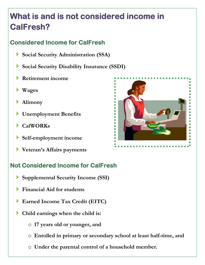## <span id="page-11-0"></span>**What is and is not considered income in CalFresh?**

### <span id="page-11-1"></span>**Considered Income for CalFresh**

- **Social Security Administration (SSA)**
- **Social Security Disability Insurance (SSDI)**
- **Retirement income**
- **Wages**
- **Alimony**
- **Unemployment Benefits**
- **CalWORKs**
- **Self-employment income**
- **Veteran's Affairs payments**

### <span id="page-11-2"></span>**Not Considered Income for CalFresh**

- **Supplemental Security Income (SSI)**
- **Financial Aid for students**
- **Earned Income Tax Credit (EITC)**
- **Child earnings when the child is:**
	- o **17 years old or younger, and**
	- o **Enrolled in primary or secondary school at least half-time, and**
	- o **Under the parental control of a household member.**

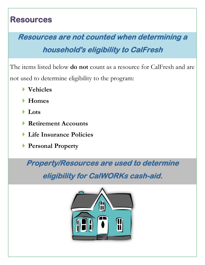### <span id="page-12-0"></span>**Resources**

## **Resources are not counted when determining a**

## **household's eligibility to CalFresh**

The items listed below **do not** count as a resource for CalFresh and are not used to determine eligibility to the program:

- **Vehicles**
- **Homes**
- **Lots**
- **Retirement Accounts**
- **Life Insurance Policies**
- **Personal Property**

**Property/Resources are used to determine** 

**eligibility for CalWORKs cash-aid.** 

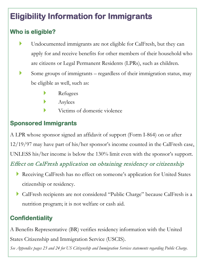## <span id="page-13-0"></span>**Eligibility Information for Immigrants**

### <span id="page-13-1"></span>**Who is eligible?**

- Undocumented immigrants are not eligible for CalFresh, but they can apply for and receive benefits for other members of their household who are citizens or Legal Permanent Residents (LPRs), such as children.
- Some groups of immigrants regardless of their immigration status, may be eligible as well, such as:
	- Refugees
	- Asylees
		- Victims of domestic violence

### <span id="page-13-2"></span>**Sponsored Immigrants**

A LPR whose sponsor signed an affidavit of support (Form I-864) on or after 12/19/97 may have part of his/her sponsor's income counted in the CalFresh case, UNLESS his/her income is below the 130% limit even with the sponsor's support.

### Effect on CalFresh application on obtaining residency or citizenship

- Receiving CalFresh has no effect on someone's application for United States citizenship or residency.
- CalFresh recipients are not considered "Public Charge" because CalFresh is a nutrition program; it is not welfare or cash aid.

### <span id="page-13-3"></span>**Confidentiality**

A Benefits Representative (BR) verifies residency information with the United States Citizenship and Immigration Service (USCIS).

*See Appendix pages 23 and 24 for US Citizenship and Immigration Services statements regarding Public Charge.*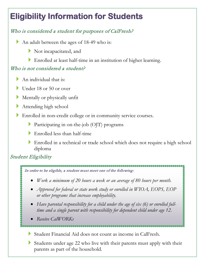## <span id="page-14-0"></span>**Eligibility Information for Students**

### Who is considered a student for purposes of CalFresh?

- An adult between the ages of 18-49 who is:
	- Not incapacitated, and
	- Enrolled at least half-time in an institution of higher learning.

#### Who is not considered a student?

- An individual that is:
- Under 18 or 50 or over
- Mentally or physically unfit
- Attending high school
- Enrolled in non-credit college or in community service courses.
	- Participating in on-the-job (OJT) programs
	- Enrolled less than half-time
	- Enrolled in a technical or trade school which does not require a high school diploma

#### Student Eligibility

In order to be eligible, a student must meet one of the following:

- *Work a minimum of 20 hours a week or an average of 80 hours per month.*
- *Approved for federal or state work study or enrolled in WIOA, EOPS, EOP or other programs that increase employability.*
- *Have parental responsibility for a child under the age of six (6) or enrolled fulltime and a single parent with responsibility for dependent child under age 12.*
- *Receive CalWORKs*
- Student Financial Aid does not count as income in CalFresh.
- Students under age 22 who live with their parents must apply with their parents as part of the household.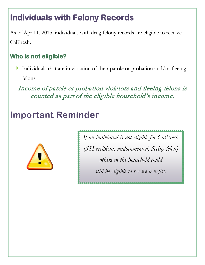## <span id="page-15-0"></span>**Individuals with Felony Records**

As of April 1, 2015, individuals with drug felony records are eligible to receive CalFresh.

### <span id="page-15-1"></span>**Who is not eligible?**

 Individuals that are in violation of their parole or probation and/or fleeing felons.

Income of parole or probation violators and fleeing felons is counted as part of the eligible household's income.

## **Important Reminder**



*If an individual is not eligible for CalFresh (SSI recipient, undocumented, fleeing felon) others in the household could still be eligible to receive benefits.*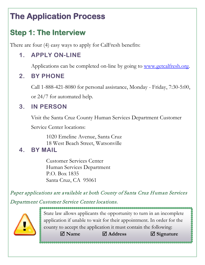## <span id="page-16-0"></span>**The Application Process**

## <span id="page-16-1"></span>**Step 1: The Interview**

There are four (4) easy ways to apply for CalFresh benefits:

### **1. APPLY ON-LINE**

Applications can be completed on-line by going to [www.getcalfresh.org.](https://www.getcalfresh.org/)

### **2. BY PHONE**

Call 1-888-421-8080 for personal assistance, Monday - Friday, 7:30-5:00,

or 24/7 for automated help.

### **3. IN PERSON**

Visit the Santa Cruz County Human Services Department Customer

Service Center locations:

1020 Emeline Avenue, Santa Cruz 18 West Beach Street, Watsonville

### **4. BY MAIL**

Customer Services Center Human Services Department P.O. Box 1835 Santa Cruz, CA 95061

Paper applications are available at both County of Santa Cruz Human Services Department Customer Service Center locations.



State law allows applicants the opportunity to turn in an incomplete application if unable to wait for their appointment. In order for the county to accept the application it must contain the following: **Name Address Signature**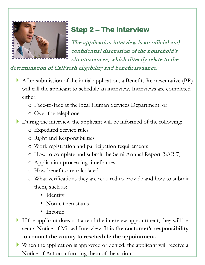

## <span id="page-17-0"></span>**Step 2 – The interview**

The application interview is an official and confidential discussion of the household's circumstances, which directly relate to the

determination of CalFresh eligibility and benefit issuance.

- After submission of the initial application, a Benefits Representative (BR) will call the applicant to schedule an interview. Interviews are completed either:
	- o Face-to-face at the local Human Services Department, or
	- o Over the telephone.
- During the interview the applicant will be informed of the following:
	- o Expedited Service rules
	- o Right and Responsibilities
	- o Work registration and participation requirements
	- o How to complete and submit the Semi Annual Report (SAR 7)
	- o Application processing timeframes
	- o How benefits are calculated
	- o What verifications they are required to provide and how to submit them, such as:
		- **I**dentity
		- Non-citizen status
		- $\blacksquare$  Income
- If the applicant does not attend the interview appointment, they will be sent a Notice of Missed Interview. **It is the customer's responsibility to contact the county to reschedule the appointment.**
- When the application is approved or denied, the applicant will receive a Notice of Action informing them of the action.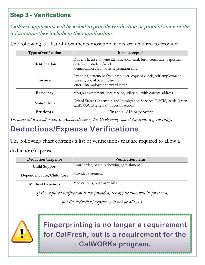### <span id="page-18-0"></span>**Step 3 - Verifications**

CalFresh applicants will be asked to provide verification or proof of some of the information they include in their applications.

The following is a list of documents most applicants are required to provide:

| Type of verification  | Items accepted                                                                                                                                           |
|-----------------------|----------------------------------------------------------------------------------------------------------------------------------------------------------|
| <b>Identification</b> | Driver's license or state identification card, birth certificate, baptismal<br>certificate, student/work<br>identification card, voter registration card |
| Income                | Pay stubs, statement from employer, copy of check, self-employment<br>records, Social Security award<br>letter, Unemployment award letter                |
| Residency             | Mortgage statement, rent receipt, utility bill with current address                                                                                      |
| Non-citizen           | United States Citizenship and Immigration Services (USCIS) cards (green<br>card), USCIS letters (Notices of Action)                                      |
| <b>Students</b>       | Financial Aid paperwork                                                                                                                                  |

*The above list is not all-inclusive. Applicants having trouble obtaining official documents may self-certify.*

### **Deductions/Expense Verifications**

The following chart contains a list of verifications that are required to allow a

deduction/expense.

| Deduction/Expense         | <b>Verification items</b>                |
|---------------------------|------------------------------------------|
| <b>Child Support</b>      | Court order, paystub showing garnishment |
| Dependent care/Child Care | Provider statement                       |
| <b>Medical Expenses</b>   | Medical bills, pharmacy bills            |

*If the required verification is not provided, the application will be processed,* 

*but the deduction/expense will not be allowed.*



**Fingerprinting is no longer a requirement for CalFresh, but is a requirement for the CalWORKs program.**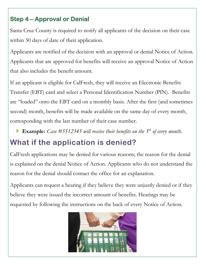### <span id="page-19-0"></span>**Step 4 – Approval or Denial**

Santa Cruz County is required to notify all applicants of the decision on their case within 30 days of date of their application.

Applicants are notified of the decision with an approval or denial Notice of Action. Applicants that are approved for benefits will receive an approval Notice of Action that also includes the benefit amount.

If an applicant is eligible for CalFresh, they will receive an Electronic Benefits Transfer (EBT) card and select a Personal Identification Number (PIN). Benefits are "loaded" onto the EBT card on a monthly basis. After the first (and sometimes second) month, benefits will be made available on the same day of every month, corresponding with the last number of their case number.

**Example:** *Case #5512345 will receive their benefits on the 5th of every month.*

## **What if the application is denied?**

CalFresh applications may be denied for various reasons; the reason for the denial is explained on the denial Notice of Action. Applicants who do not understand the reason for the denial should contact the office for an explanation.

Applicants can request a hearing if they believe they were unjustly denied or if they believe they were issued the incorrect amount of benefits. Hearings may be requested by following the instructions on the back of every Notice of Action.

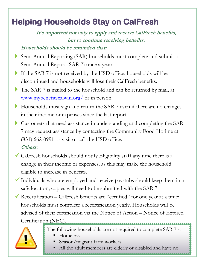## <span id="page-20-0"></span>**Helping Households Stay on CalFresh**

It's important not only to apply and receive CalFresh benefits; but to continue receiving benefits.

#### Households should be reminded that:

- Semi Annual Reporting (SAR) households must complete and submit a Semi Annual Report (SAR 7) once a year:
- If the SAR 7 is not received by the HSD office, households will be discontinued and households will lose their CalFresh benefits.
- The SAR 7 is mailed to the household and can be returned by mail, at [www.mybenefitscalwin.org/](http://www.mybenefitscalwin.org/) or in person.
- Households must sign and return the SAR 7 even if there are no changes in their income or expenses since the last report.
- Customers that need assistance in understanding and completing the SAR 7 may request assistance by contacting the Community Food Hotline at (831) 662-0991 or visit or call the HSD office. Others:
- $\checkmark$  CalFresh households should notify Eligibility staff any time there is a change in their income or expenses, as this may make the household eligible to increase in benefits.
- $\checkmark$  Individuals who are employed and receive paystubs should keep them in a safe location; copies will need to be submitted with the SAR 7.
- Recertification CalFresh benefits are "certified" for one year at a time; households must complete a recertification yearly. Households will be advised of their certification via the Notice of Action – Notice of Expired Certification (NEC).



- The following households are not required to complete SAR 7's.
	- Homeless
	- Season/migrant farm workers
	- All the adult members are elderly or disabled and have no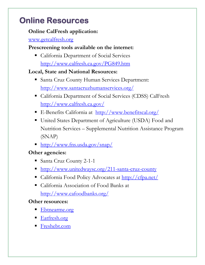## <span id="page-21-0"></span>**Online Resources**

#### **Online CalFresh application:**

#### [www.getcalfresh.org](https://getcalfresh.org/)

#### **Prescreening tools available on the internet:**

 California Department of Social Services <http://www.calfresh.ca.gov/PG849.htm>

### **Local, State and National Resources:**

- **Santa Cruz County Human Services Department:** <http://www.santacruzhumanservices.org/>
- California Department of Social Services (CDSS) CalFresh <http://www.calfresh.ca.gov/>
- E-Benefits California at <http://www.benefitscal.org/>
- United States Department of Agriculture (USDA) Food and Nutrition Services – Supplemental Nutrition Assistance Program (SNAP)
- <http://www.fns.usda.gov/snap/>

### **Other agencies:**

- Santa Cruz County 2-1-1
- <http://www.unitedwaysc.org/211-santa-cruz-county>
- California Food Policy Advocates at<http://cfpa.net/>
- California Association of Food Banks at <http://www.cafoodbanks.org/>

#### **Other resources:**

- [Ebtnearme.org](http://ebtnearme.org/)
- [Eatfresh.org](http://eatfresh.org/)
- [Freshebt.com](http://www.freshebt.com/)